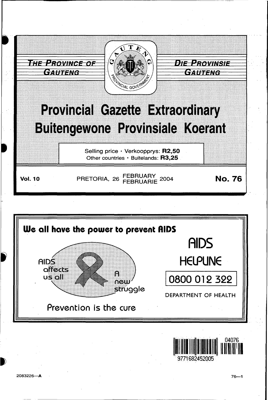